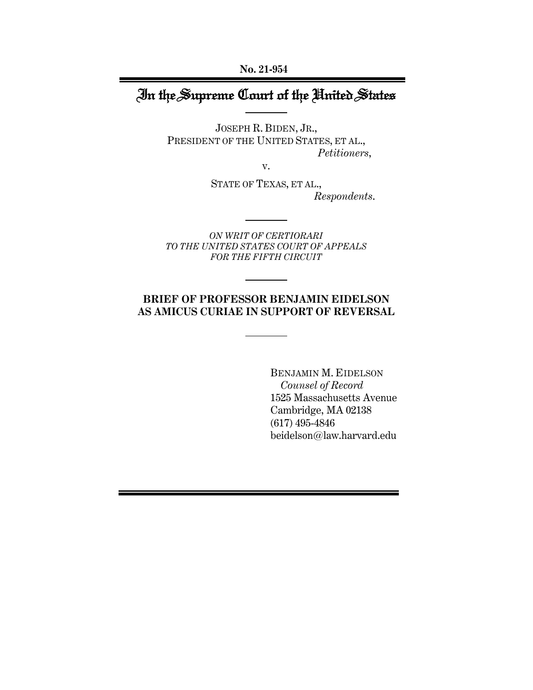**No. 21-954**

# In the Supreme Court of the United States

JOSEPH R. BIDEN, JR., PRESIDENT OF THE UNITED STATES, ET AL., *Petitioners*,

v.

STATE OF TEXAS, ET AL., *Respondents*.

*ON WRIT OF CERTIORARI TO THE UNITED STATES COURT OF APPEALS FOR THE FIFTH CIRCUIT*

## **BRIEF OF PROFESSOR BENJAMIN EIDELSON AS AMICUS CURIAE IN SUPPORT OF REVERSAL**

BENJAMIN M. EIDELSON  *Counsel of Record*  1525 Massachusetts Avenue Cambridge, MA 02138 (617) 495-4846 beidelson@law.harvard.edu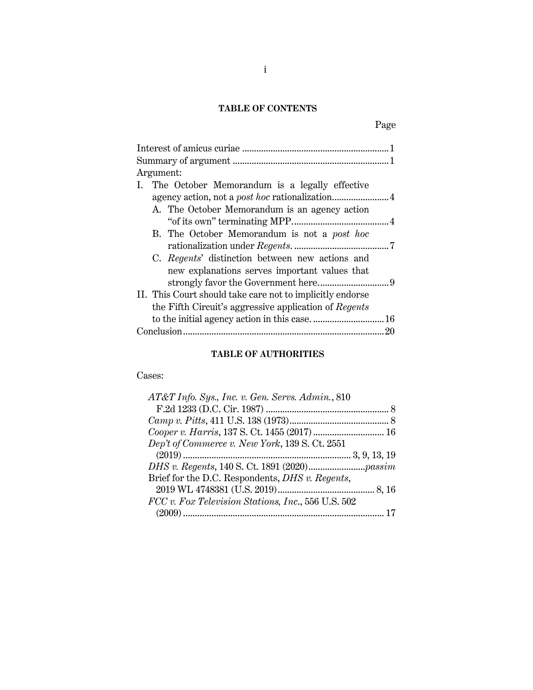## **TABLE OF CONTENTS**

| Argument:                                                 |     |
|-----------------------------------------------------------|-----|
| I. The October Memorandum is a legally effective          |     |
|                                                           |     |
| A. The October Memorandum is an agency action             |     |
|                                                           |     |
| B. The October Memorandum is not a post hoc               |     |
|                                                           |     |
| C. Regents' distinction between new actions and           |     |
| new explanations serves important values that             |     |
|                                                           |     |
| II. This Court should take care not to implicitly endorse |     |
| the Fifth Circuit's aggressive application of Regents     |     |
|                                                           |     |
|                                                           | -20 |
|                                                           |     |

## **TABLE OF AUTHORITIES**

## Cases:

| AT&T Info. Sys., Inc. v. Gen. Servs. Admin., 810   |  |
|----------------------------------------------------|--|
|                                                    |  |
|                                                    |  |
|                                                    |  |
| Dep't of Commerce v. New York, 139 S. Ct. 2551     |  |
|                                                    |  |
|                                                    |  |
| Brief for the D.C. Respondents, DHS v. Regents,    |  |
|                                                    |  |
| FCC v. Fox Television Stations, Inc., 556 U.S. 502 |  |
|                                                    |  |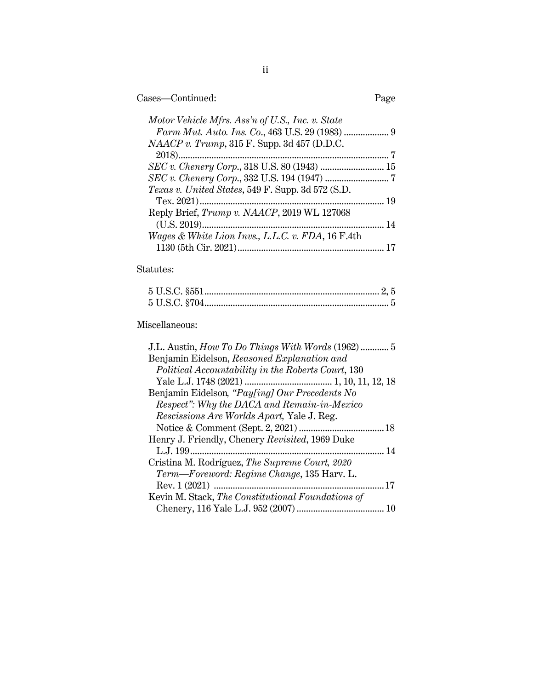| Cases—Continued: | Page |
|------------------|------|
|------------------|------|

| Motor Vehicle Mfrs. Ass'n of U.S., Inc. v. State             |  |
|--------------------------------------------------------------|--|
|                                                              |  |
| $NAACP$ v. Trump, 315 F. Supp. 3d 457 (D.D.C.                |  |
|                                                              |  |
| SEC v. Chenery Corp., 318 U.S. 80 (1943)  15                 |  |
|                                                              |  |
| Texas v. United States, 549 F. Supp. 3d 572 (S.D.            |  |
|                                                              |  |
| Reply Brief, Trump v. NAACP, 2019 WL 127068                  |  |
|                                                              |  |
| <i>Wages &amp; White Lion Invs., L.L.C. v. FDA,</i> 16 F.4th |  |
|                                                              |  |
|                                                              |  |

## Statutes:

## Miscellaneous: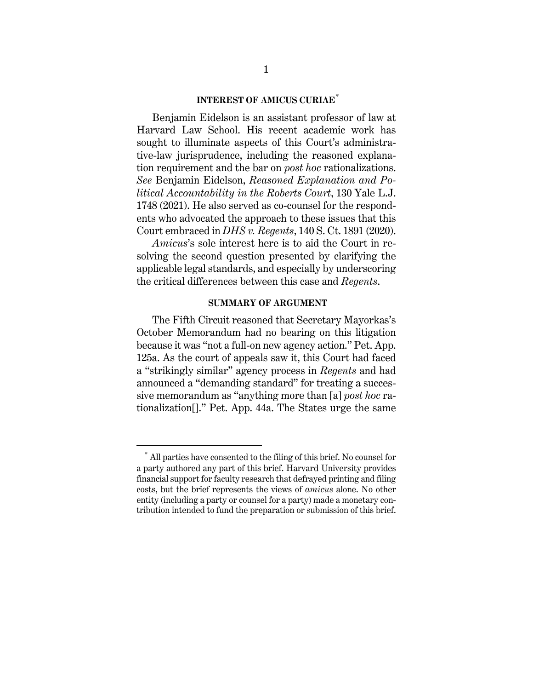### **INTEREST OF AMICUS CURIAE\***

Benjamin Eidelson is an assistant professor of law at Harvard Law School. His recent academic work has sought to illuminate aspects of this Court's administrative-law jurisprudence, including the reasoned explanation requirement and the bar on *post hoc* rationalizations. *See* Benjamin Eidelson, *Reasoned Explanation and Political Accountability in the Roberts Court*, 130 Yale L.J. 1748 (2021). He also served as co-counsel for the respondents who advocated the approach to these issues that this Court embraced in *DHS v. Regents*, 140 S. Ct. 1891 (2020).

*Amicus*'s sole interest here is to aid the Court in resolving the second question presented by clarifying the applicable legal standards, and especially by underscoring the critical differences between this case and *Regents*.

#### **SUMMARY OF ARGUMENT**

The Fifth Circuit reasoned that Secretary Mayorkas's October Memorandum had no bearing on this litigation because it was "not a full-on new agency action." Pet. App. 125a. As the court of appeals saw it, this Court had faced a "strikingly similar" agency process in *Regents* and had announced a "demanding standard" for treating a successive memorandum as "anything more than [a] *post hoc* rationalization[]." Pet. App. 44a. The States urge the same

<sup>\*</sup> All parties have consented to the filing of this brief. No counsel for a party authored any part of this brief. Harvard University provides financial support for faculty research that defrayed printing and filing costs, but the brief represents the views of *amicus* alone. No other entity (including a party or counsel for a party) made a monetary contribution intended to fund the preparation or submission of this brief.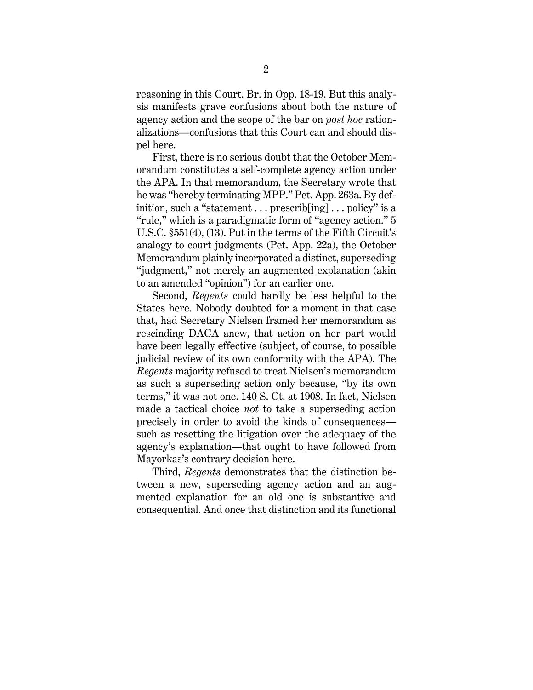reasoning in this Court. Br. in Opp. 18-19. But this analysis manifests grave confusions about both the nature of agency action and the scope of the bar on *post hoc* rationalizations—confusions that this Court can and should dispel here.

First, there is no serious doubt that the October Memorandum constitutes a self-complete agency action under the APA. In that memorandum, the Secretary wrote that he was "hereby terminating MPP." Pet. App. 263a. By definition, such a "statement  $\ldots$  prescrib[ing]  $\ldots$  policy" is a "rule," which is a paradigmatic form of "agency action." 5 U.S.C. §551(4), (13). Put in the terms of the Fifth Circuit's analogy to court judgments (Pet. App. 22a), the October Memorandum plainly incorporated a distinct, superseding "judgment," not merely an augmented explanation (akin to an amended "opinion") for an earlier one.

Second, *Regents* could hardly be less helpful to the States here. Nobody doubted for a moment in that case that, had Secretary Nielsen framed her memorandum as rescinding DACA anew, that action on her part would have been legally effective (subject, of course, to possible judicial review of its own conformity with the APA). The *Regents* majority refused to treat Nielsen's memorandum as such a superseding action only because, "by its own terms," it was not one. 140 S. Ct. at 1908. In fact, Nielsen made a tactical choice *not* to take a superseding action precisely in order to avoid the kinds of consequences such as resetting the litigation over the adequacy of the agency's explanation—that ought to have followed from Mayorkas's contrary decision here.

Third, *Regents* demonstrates that the distinction between a new, superseding agency action and an augmented explanation for an old one is substantive and consequential. And once that distinction and its functional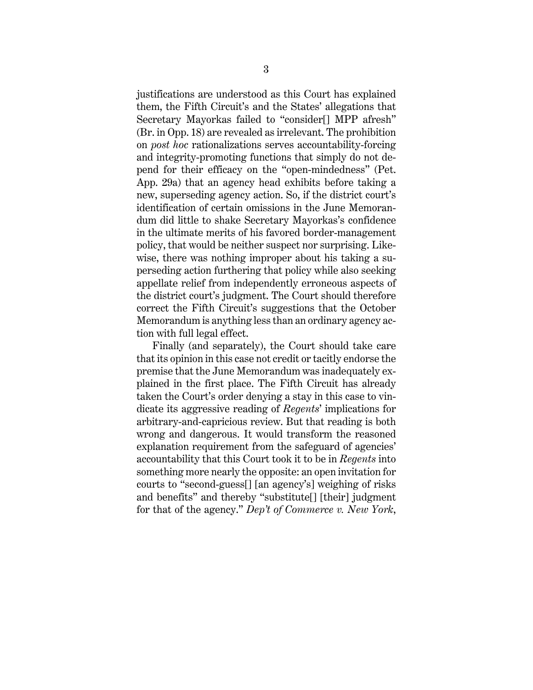justifications are understood as this Court has explained them, the Fifth Circuit's and the States' allegations that Secretary Mayorkas failed to "consider[] MPP afresh" (Br. in Opp. 18) are revealed as irrelevant. The prohibition on *post hoc* rationalizations serves accountability-forcing and integrity-promoting functions that simply do not depend for their efficacy on the "open-mindedness" (Pet. App. 29a) that an agency head exhibits before taking a new, superseding agency action. So, if the district court's identification of certain omissions in the June Memorandum did little to shake Secretary Mayorkas's confidence in the ultimate merits of his favored border-management policy, that would be neither suspect nor surprising. Likewise, there was nothing improper about his taking a superseding action furthering that policy while also seeking appellate relief from independently erroneous aspects of the district court's judgment. The Court should therefore correct the Fifth Circuit's suggestions that the October Memorandum is anything less than an ordinary agency action with full legal effect.

Finally (and separately), the Court should take care that its opinion in this case not credit or tacitly endorse the premise that the June Memorandum was inadequately explained in the first place. The Fifth Circuit has already taken the Court's order denying a stay in this case to vindicate its aggressive reading of *Regents*' implications for arbitrary-and-capricious review. But that reading is both wrong and dangerous. It would transform the reasoned explanation requirement from the safeguard of agencies' accountability that this Court took it to be in *Regents* into something more nearly the opposite: an open invitation for courts to "second-guess[] [an agency's] weighing of risks and benefits" and thereby "substitute[] [their] judgment for that of the agency." *Dep't of Commerce v. New York*,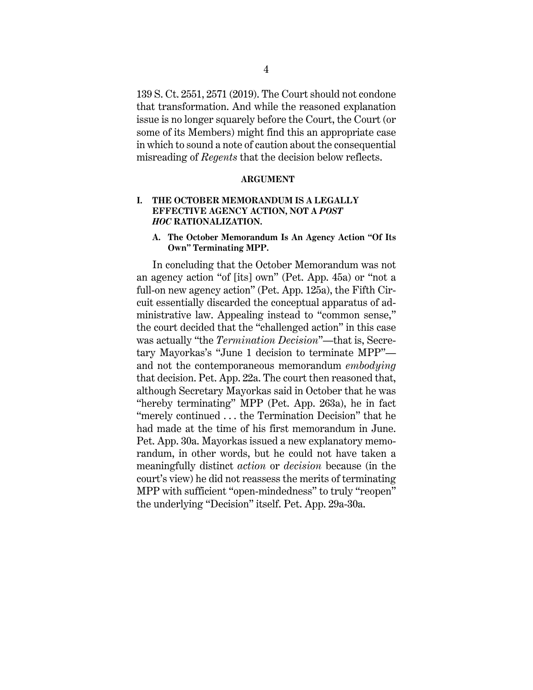139 S. Ct. 2551, 2571 (2019). The Court should not condone that transformation. And while the reasoned explanation issue is no longer squarely before the Court, the Court (or some of its Members) might find this an appropriate case in which to sound a note of caution about the consequential misreading of *Regents* that the decision below reflects.

#### **ARGUMENT**

#### **I. THE OCTOBER MEMORANDUM IS A LEGALLY EFFECTIVE AGENCY ACTION, NOT A** *POST HOC* **RATIONALIZATION.**

#### **A. The October Memorandum Is An Agency Action "Of Its Own" Terminating MPP.**

In concluding that the October Memorandum was not an agency action "of [its] own" (Pet. App. 45a) or "not a full-on new agency action" (Pet. App. 125a), the Fifth Circuit essentially discarded the conceptual apparatus of administrative law. Appealing instead to "common sense," the court decided that the "challenged action" in this case was actually "the *Termination Decision*"—that is, Secretary Mayorkas's "June 1 decision to terminate MPP" and not the contemporaneous memorandum *embodying* that decision. Pet. App. 22a. The court then reasoned that, although Secretary Mayorkas said in October that he was "hereby terminating" MPP (Pet. App. 263a), he in fact "merely continued . . . the Termination Decision" that he had made at the time of his first memorandum in June. Pet. App. 30a. Mayorkas issued a new explanatory memorandum, in other words, but he could not have taken a meaningfully distinct *action* or *decision* because (in the court's view) he did not reassess the merits of terminating MPP with sufficient "open-mindedness" to truly "reopen" the underlying "Decision" itself. Pet. App. 29a-30a.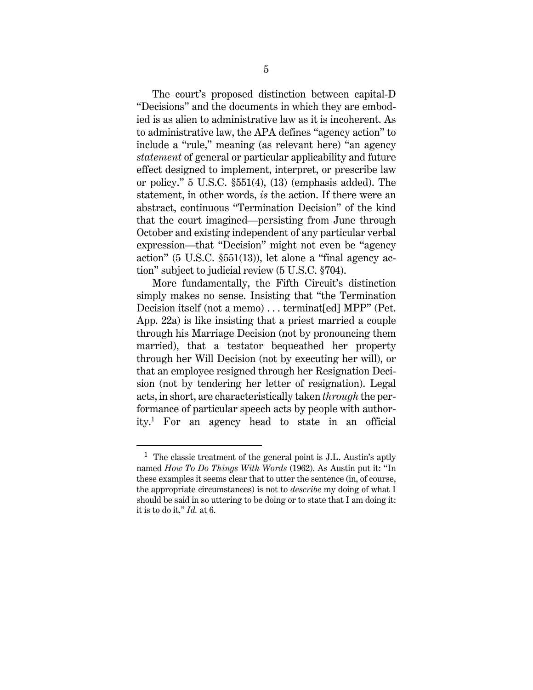The court's proposed distinction between capital-D "Decisions" and the documents in which they are embodied is as alien to administrative law as it is incoherent. As to administrative law, the APA defines "agency action" to include a "rule," meaning (as relevant here) "an agency *statement* of general or particular applicability and future effect designed to implement, interpret, or prescribe law or policy." 5 U.S.C. §551(4), (13) (emphasis added). The statement, in other words, *is* the action. If there were an abstract, continuous "Termination Decision" of the kind that the court imagined—persisting from June through October and existing independent of any particular verbal expression—that "Decision" might not even be "agency action" (5 U.S.C. §551(13)), let alone a "final agency action" subject to judicial review (5 U.S.C. §704).

More fundamentally, the Fifth Circuit's distinction simply makes no sense. Insisting that "the Termination Decision itself (not a memo) ... terminat[ed] MPP" (Pet. App. 22a) is like insisting that a priest married a couple through his Marriage Decision (not by pronouncing them married), that a testator bequeathed her property through her Will Decision (not by executing her will), or that an employee resigned through her Resignation Decision (not by tendering her letter of resignation). Legal acts, in short, are characteristically taken *through* the performance of particular speech acts by people with authority. 1 For an agency head to state in an official

 $<sup>1</sup>$  The classic treatment of the general point is J.L. Austin's aptly</sup> named *How To Do Things With Words* (1962). As Austin put it: "In these examples it seems clear that to utter the sentence (in, of course, the appropriate circumstances) is not to *describe* my doing of what I should be said in so uttering to be doing or to state that I am doing it: it is to do it." *Id.* at 6.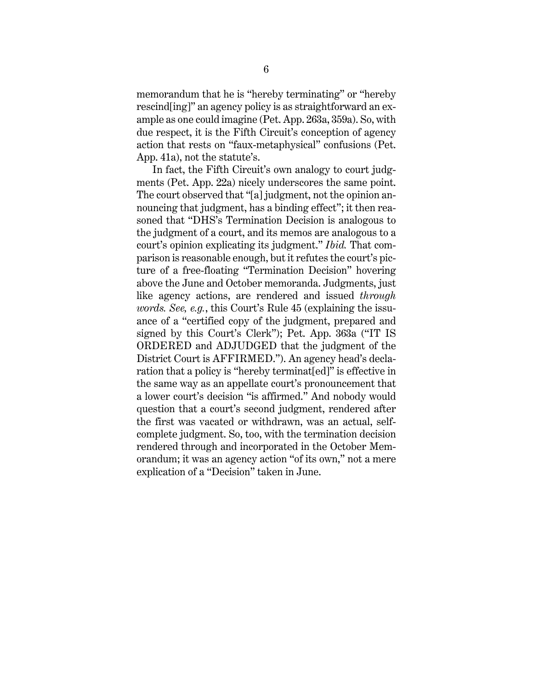memorandum that he is "hereby terminating" or "hereby rescind[ing]" an agency policy is as straightforward an example as one could imagine (Pet. App. 263a, 359a). So, with due respect, it is the Fifth Circuit's conception of agency action that rests on "faux-metaphysical" confusions (Pet. App. 41a), not the statute's.

In fact, the Fifth Circuit's own analogy to court judgments (Pet. App. 22a) nicely underscores the same point. The court observed that "[a] judgment, not the opinion announcing that judgment, has a binding effect"; it then reasoned that "DHS's Termination Decision is analogous to the judgment of a court, and its memos are analogous to a court's opinion explicating its judgment." *Ibid.* That comparison is reasonable enough, but it refutes the court's picture of a free-floating "Termination Decision" hovering above the June and October memoranda. Judgments, just like agency actions, are rendered and issued *through words. See, e.g.*, this Court's Rule 45 (explaining the issuance of a "certified copy of the judgment, prepared and signed by this Court's Clerk"); Pet. App. 363a ("IT IS ORDERED and ADJUDGED that the judgment of the District Court is AFFIRMED."). An agency head's declaration that a policy is "hereby terminat[ed]" is effective in the same way as an appellate court's pronouncement that a lower court's decision "is affirmed." And nobody would question that a court's second judgment, rendered after the first was vacated or withdrawn, was an actual, selfcomplete judgment. So, too, with the termination decision rendered through and incorporated in the October Memorandum; it was an agency action "of its own," not a mere explication of a "Decision" taken in June.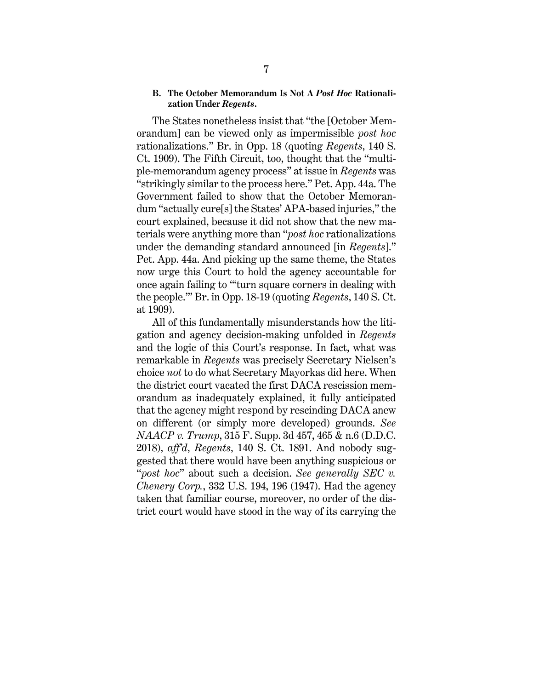#### **B. The October Memorandum Is Not A** *Post Hoc* **Rationalization Under** *Regents***.**

The States nonetheless insist that "the [October Memorandum] can be viewed only as impermissible *post hoc* rationalizations." Br. in Opp. 18 (quoting *Regents*, 140 S. Ct. 1909). The Fifth Circuit, too, thought that the "multiple-memorandum agency process" at issue in *Regents* was "strikingly similar to the process here." Pet. App. 44a. The Government failed to show that the October Memorandum "actually cure[s] the States' APA-based injuries," the court explained, because it did not show that the new materials were anything more than "*post hoc* rationalizations under the demanding standard announced [in *Regents*]." Pet. App. 44a. And picking up the same theme, the States now urge this Court to hold the agency accountable for once again failing to "'turn square corners in dealing with the people.'" Br. in Opp. 18-19 (quoting *Regents*, 140 S. Ct. at 1909).

All of this fundamentally misunderstands how the litigation and agency decision-making unfolded in *Regents* and the logic of this Court's response. In fact, what was remarkable in *Regents* was precisely Secretary Nielsen's choice *not* to do what Secretary Mayorkas did here. When the district court vacated the first DACA rescission memorandum as inadequately explained, it fully anticipated that the agency might respond by rescinding DACA anew on different (or simply more developed) grounds. *See NAACP v. Trump*, 315 F. Supp. 3d 457, 465 & n.6 (D.D.C. 2018), *aff'd*, *Regents*, 140 S. Ct. 1891. And nobody suggested that there would have been anything suspicious or "*post hoc*" about such a decision. *See generally SEC v. Chenery Corp.*, 332 U.S. 194, 196 (1947). Had the agency taken that familiar course, moreover, no order of the district court would have stood in the way of its carrying the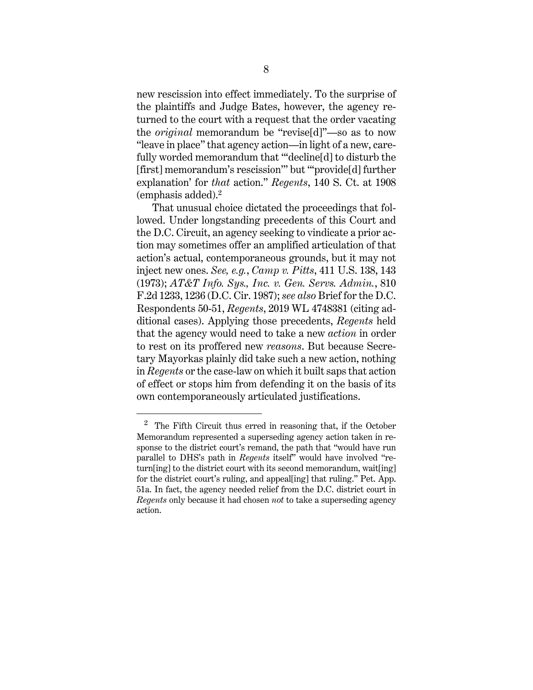new rescission into effect immediately. To the surprise of the plaintiffs and Judge Bates, however, the agency returned to the court with a request that the order vacating the *original* memorandum be "revise[d]"—so as to now "leave in place" that agency action—in light of a new, carefully worded memorandum that "'decline[d] to disturb the [first] memorandum's rescission'" but "'provide[d] further explanation' for *that* action." *Regents*, 140 S. Ct. at 1908 (emphasis added).<sup>2</sup>

That unusual choice dictated the proceedings that followed. Under longstanding precedents of this Court and the D.C. Circuit, an agency seeking to vindicate a prior action may sometimes offer an amplified articulation of that action's actual, contemporaneous grounds, but it may not inject new ones. *See, e.g.*, *Camp v. Pitts*, 411 U.S. 138, 143 (1973); *AT&T Info. Sys., Inc. v. Gen. Servs. Admin.*, 810 F.2d 1233, 1236 (D.C. Cir. 1987); *see also* Brief for the D.C. Respondents 50-51, *Regents*, 2019 WL 4748381 (citing additional cases). Applying those precedents, *Regents* held that the agency would need to take a new *action* in order to rest on its proffered new *reasons*. But because Secretary Mayorkas plainly did take such a new action, nothing in *Regents* or the case-law on which it built saps that action of effect or stops him from defending it on the basis of its own contemporaneously articulated justifications.

 $2$  The Fifth Circuit thus erred in reasoning that, if the October Memorandum represented a superseding agency action taken in response to the district court's remand, the path that "would have run parallel to DHS's path in *Regents* itself" would have involved "return[ing] to the district court with its second memorandum, wait[ing] for the district court's ruling, and appeal[ing] that ruling." Pet. App. 51a. In fact, the agency needed relief from the D.C. district court in *Regents* only because it had chosen *not* to take a superseding agency action.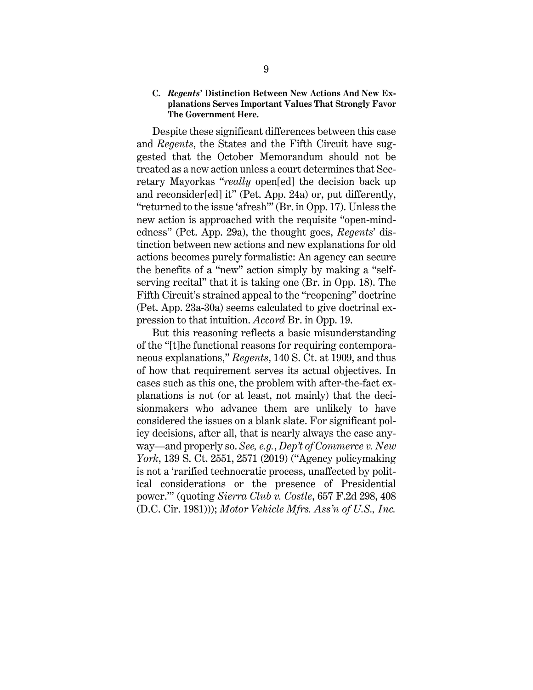#### **C.** *Regents***' Distinction Between New Actions And New Explanations Serves Important Values That Strongly Favor The Government Here.**

Despite these significant differences between this case and *Regents*, the States and the Fifth Circuit have suggested that the October Memorandum should not be treated as a new action unless a court determines that Secretary Mayorkas "*really* open[ed] the decision back up and reconsider[ed] it" (Pet. App. 24a) or, put differently, "returned to the issue 'afresh'" (Br. in Opp. 17). Unless the new action is approached with the requisite "open-mindedness" (Pet. App. 29a), the thought goes, *Regents*' distinction between new actions and new explanations for old actions becomes purely formalistic: An agency can secure the benefits of a "new" action simply by making a "selfserving recital" that it is taking one (Br. in Opp. 18). The Fifth Circuit's strained appeal to the "reopening" doctrine (Pet. App. 23a-30a) seems calculated to give doctrinal expression to that intuition. *Accord* Br. in Opp. 19.

But this reasoning reflects a basic misunderstanding of the "[t]he functional reasons for requiring contemporaneous explanations," *Regents*, 140 S. Ct. at 1909, and thus of how that requirement serves its actual objectives. In cases such as this one, the problem with after-the-fact explanations is not (or at least, not mainly) that the decisionmakers who advance them are unlikely to have considered the issues on a blank slate. For significant policy decisions, after all, that is nearly always the case anyway—and properly so. *See, e.g.*, *Dep't of Commerce v. New York*, 139 S. Ct. 2551, 2571 (2019) ("Agency policymaking is not a 'rarified technocratic process, unaffected by political considerations or the presence of Presidential power.'" (quoting *Sierra Club v. Costle*, 657 F.2d 298, 408 (D.C. Cir. 1981))); *Motor Vehicle Mfrs. Ass'n of U.S., Inc.*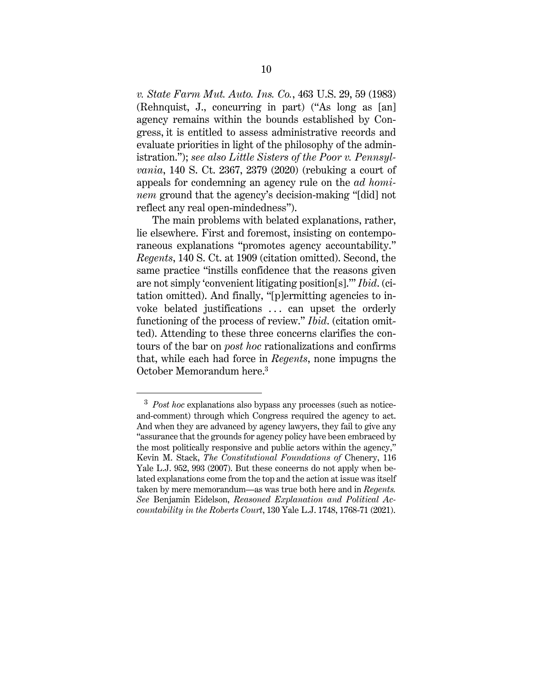*v. State Farm Mut. Auto. Ins. Co.*, 463 U.S. 29, 59 (1983) (Rehnquist, J., concurring in part) ("As long as [an] agency remains within the bounds established by Congress, it is entitled to assess administrative records and evaluate priorities in light of the philosophy of the administration."); *see also Little Sisters of the Poor v. Pennsylvania*, 140 S. Ct. 2367, 2379 (2020) (rebuking a court of appeals for condemning an agency rule on the *ad hominem* ground that the agency's decision-making "[did] not reflect any real open-mindedness").

The main problems with belated explanations, rather, lie elsewhere. First and foremost, insisting on contemporaneous explanations "promotes agency accountability." *Regents*, 140 S. Ct. at 1909 (citation omitted). Second, the same practice "instills confidence that the reasons given are not simply 'convenient litigating position[s].'" *Ibid*. (citation omitted). And finally, "[p]ermitting agencies to invoke belated justifications ... can upset the orderly functioning of the process of review." *Ibid*. (citation omitted). Attending to these three concerns clarifies the contours of the bar on *post hoc* rationalizations and confirms that, while each had force in *Regents*, none impugns the October Memorandum here.<sup>3</sup>

<sup>3</sup> *Post hoc* explanations also bypass any processes (such as noticeand-comment) through which Congress required the agency to act. And when they are advanced by agency lawyers, they fail to give any "assurance that the grounds for agency policy have been embraced by the most politically responsive and public actors within the agency," Kevin M. Stack, *The Constitutional Foundations of* Chenery, 116 Yale L.J. 952, 993 (2007). But these concerns do not apply when belated explanations come from the top and the action at issue was itself taken by mere memorandum—as was true both here and in *Regents. See* Benjamin Eidelson, *Reasoned Explanation and Political Accountability in the Roberts Court*, 130 Yale L.J. 1748, 1768-71 (2021).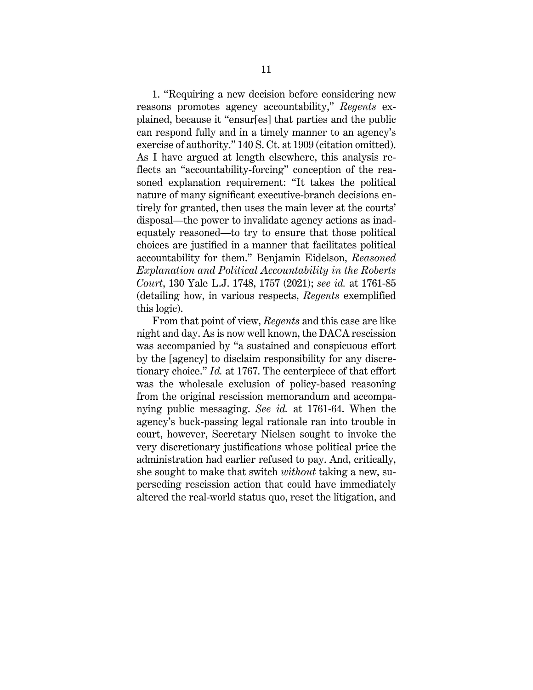1. "Requiring a new decision before considering new reasons promotes agency accountability," *Regents* explained, because it "ensur[es] that parties and the public can respond fully and in a timely manner to an agency's exercise of authority." 140 S. Ct. at 1909 (citation omitted). As I have argued at length elsewhere, this analysis reflects an "accountability-forcing" conception of the reasoned explanation requirement: "It takes the political nature of many significant executive-branch decisions entirely for granted, then uses the main lever at the courts' disposal—the power to invalidate agency actions as inadequately reasoned—to try to ensure that those political choices are justified in a manner that facilitates political accountability for them." Benjamin Eidelson, *Reasoned Explanation and Political Accountability in the Roberts Court*, 130 Yale L.J. 1748, 1757 (2021); *see id.* at 1761-85 (detailing how, in various respects, *Regents* exemplified this logic).

From that point of view, *Regents* and this case are like night and day. As is now well known, the DACA rescission was accompanied by "a sustained and conspicuous effort by the [agency] to disclaim responsibility for any discretionary choice." *Id.* at 1767. The centerpiece of that effort was the wholesale exclusion of policy-based reasoning from the original rescission memorandum and accompanying public messaging. *See id.* at 1761-64. When the agency's buck-passing legal rationale ran into trouble in court, however, Secretary Nielsen sought to invoke the very discretionary justifications whose political price the administration had earlier refused to pay. And, critically, she sought to make that switch *without* taking a new, superseding rescission action that could have immediately altered the real-world status quo, reset the litigation, and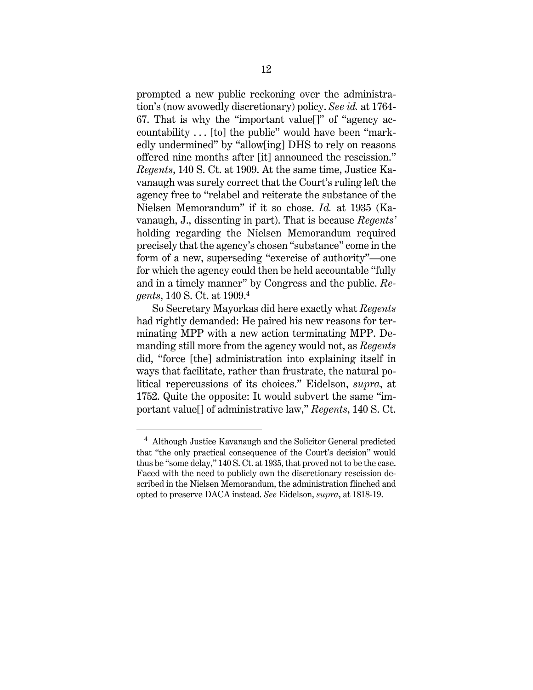prompted a new public reckoning over the administration's (now avowedly discretionary) policy. *See id.* at 1764- 67. That is why the "important value[]" of "agency accountability . . . [to] the public" would have been "markedly undermined" by "allow[ing] DHS to rely on reasons offered nine months after [it] announced the rescission." *Regents*, 140 S. Ct. at 1909. At the same time, Justice Kavanaugh was surely correct that the Court's ruling left the agency free to "relabel and reiterate the substance of the Nielsen Memorandum" if it so chose. *Id.* at 1935 (Kavanaugh, J., dissenting in part). That is because *Regents'*  holding regarding the Nielsen Memorandum required precisely that the agency's chosen "substance" come in the form of a new, superseding "exercise of authority"—one for which the agency could then be held accountable "fully and in a timely manner" by Congress and the public. *Regents*, 140 S. Ct. at 1909.<sup>4</sup>

So Secretary Mayorkas did here exactly what *Regents* had rightly demanded: He paired his new reasons for terminating MPP with a new action terminating MPP. Demanding still more from the agency would not, as *Regents*  did, "force [the] administration into explaining itself in ways that facilitate, rather than frustrate, the natural political repercussions of its choices." Eidelson, *supra*, at 1752. Quite the opposite: It would subvert the same "important value[] of administrative law," *Regents*, 140 S. Ct.

<sup>&</sup>lt;sup>4</sup> Although Justice Kavanaugh and the Solicitor General predicted that "the only practical consequence of the Court's decision" would thus be "some delay," 140 S. Ct. at 1935, that proved not to be the case. Faced with the need to publicly own the discretionary rescission described in the Nielsen Memorandum, the administration flinched and opted to preserve DACA instead. *See* Eidelson, *supra*, at 1818-19.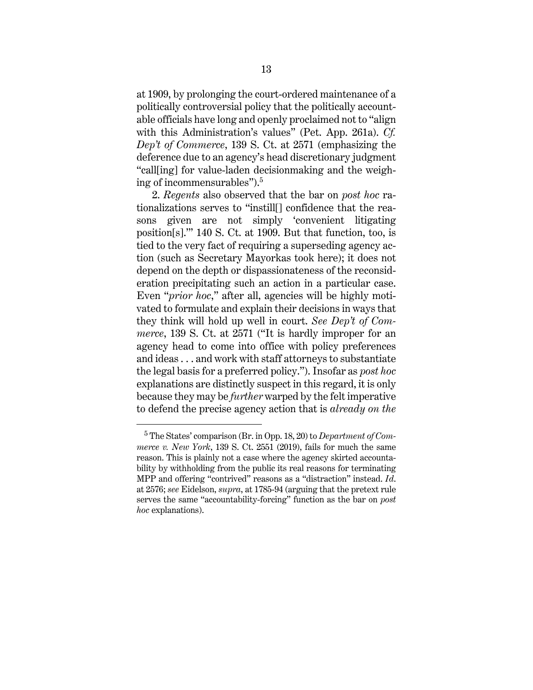at 1909, by prolonging the court-ordered maintenance of a politically controversial policy that the politically accountable officials have long and openly proclaimed not to "align with this Administration's values" (Pet. App. 261a). *Cf. Dep't of Commerce*, 139 S. Ct. at 2571 (emphasizing the deference due to an agency's head discretionary judgment "call[ing] for value-laden decisionmaking and the weighing of incommensurables"). 5

2. *Regents* also observed that the bar on *post hoc* rationalizations serves to "instill[] confidence that the reasons given are not simply 'convenient litigating position[s].'" 140 S. Ct. at 1909. But that function, too, is tied to the very fact of requiring a superseding agency action (such as Secretary Mayorkas took here); it does not depend on the depth or dispassionateness of the reconsideration precipitating such an action in a particular case. Even "*prior hoc*," after all, agencies will be highly motivated to formulate and explain their decisions in ways that they think will hold up well in court. *See Dep't of Commerce*, 139 S. Ct. at 2571 ("It is hardly improper for an agency head to come into office with policy preferences and ideas . . . and work with staff attorneys to substantiate the legal basis for a preferred policy."). Insofar as *post hoc* explanations are distinctly suspect in this regard, it is only because they may be *further* warped by the felt imperative to defend the precise agency action that is *already on the* 

<sup>5</sup> The States' comparison (Br. in Opp. 18, 20) to *Department of Commerce v. New York*, 139 S. Ct. 2551 (2019), fails for much the same reason. This is plainly not a case where the agency skirted accountability by withholding from the public its real reasons for terminating MPP and offering "contrived" reasons as a "distraction" instead. *Id*. at 2576; *see* Eidelson, *supra*, at 1785-94 (arguing that the pretext rule serves the same "accountability-forcing" function as the bar on *post hoc* explanations).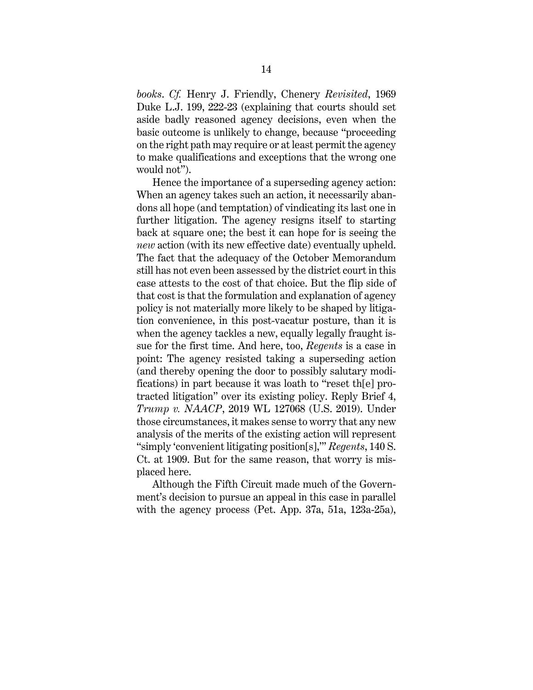*books*. *Cf.* Henry J. Friendly, Chenery *Revisited*, 1969 Duke L.J. 199, 222-23 (explaining that courts should set aside badly reasoned agency decisions, even when the basic outcome is unlikely to change, because "proceeding on the right path may require or at least permit the agency to make qualifications and exceptions that the wrong one would not").

Hence the importance of a superseding agency action: When an agency takes such an action, it necessarily abandons all hope (and temptation) of vindicating its last one in further litigation. The agency resigns itself to starting back at square one; the best it can hope for is seeing the *new* action (with its new effective date) eventually upheld. The fact that the adequacy of the October Memorandum still has not even been assessed by the district court in this case attests to the cost of that choice. But the flip side of that cost is that the formulation and explanation of agency policy is not materially more likely to be shaped by litigation convenience, in this post-vacatur posture, than it is when the agency tackles a new, equally legally fraught issue for the first time. And here, too, *Regents* is a case in point: The agency resisted taking a superseding action (and thereby opening the door to possibly salutary modifications) in part because it was loath to "reset th[e] protracted litigation" over its existing policy. Reply Brief 4, *Trump v. NAACP*, 2019 WL 127068 (U.S. 2019). Under those circumstances, it makes sense to worry that any new analysis of the merits of the existing action will represent "simply 'convenient litigating position[s],'" *Regents*, 140 S. Ct. at 1909. But for the same reason, that worry is misplaced here.

Although the Fifth Circuit made much of the Government's decision to pursue an appeal in this case in parallel with the agency process (Pet. App. 37a, 51a, 123a-25a),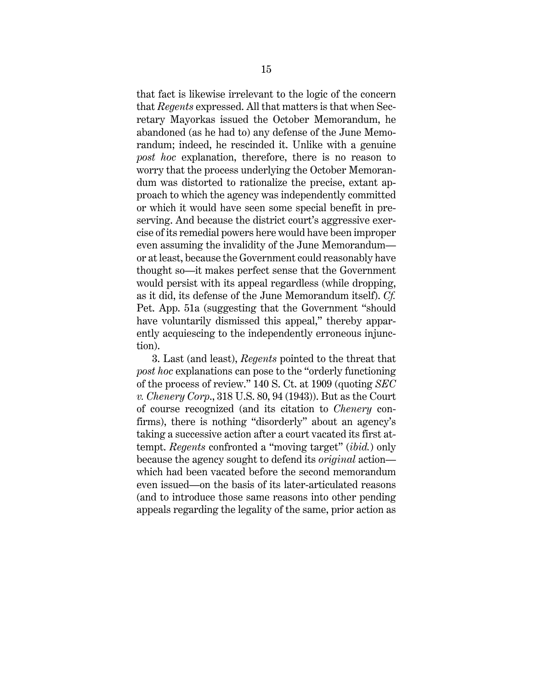that fact is likewise irrelevant to the logic of the concern that *Regents* expressed. All that matters is that when Secretary Mayorkas issued the October Memorandum, he abandoned (as he had to) any defense of the June Memorandum; indeed, he rescinded it. Unlike with a genuine *post hoc* explanation, therefore, there is no reason to worry that the process underlying the October Memorandum was distorted to rationalize the precise, extant approach to which the agency was independently committed or which it would have seen some special benefit in preserving. And because the district court's aggressive exercise of its remedial powers here would have been improper even assuming the invalidity of the June Memorandum or at least, because the Government could reasonably have thought so—it makes perfect sense that the Government would persist with its appeal regardless (while dropping, as it did, its defense of the June Memorandum itself). *Cf.* Pet. App. 51a (suggesting that the Government "should have voluntarily dismissed this appeal," thereby apparently acquiescing to the independently erroneous injunction).

3. Last (and least), *Regents* pointed to the threat that *post hoc* explanations can pose to the "orderly functioning of the process of review." 140 S. Ct. at 1909 (quoting *SEC v. Chenery Corp*., 318 U.S. 80, 94 (1943)). But as the Court of course recognized (and its citation to *Chenery* confirms), there is nothing "disorderly" about an agency's taking a successive action after a court vacated its first attempt. *Regents* confronted a "moving target" (*ibid.*) only because the agency sought to defend its *original* action which had been vacated before the second memorandum even issued—on the basis of its later-articulated reasons (and to introduce those same reasons into other pending appeals regarding the legality of the same, prior action as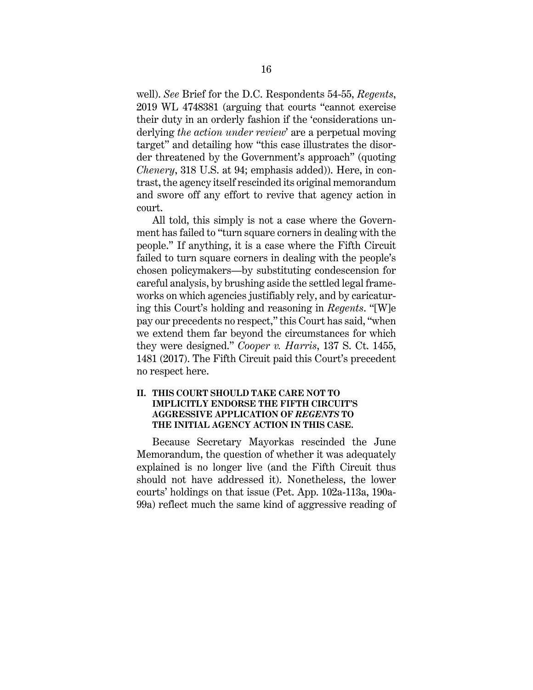well). *See* Brief for the D.C. Respondents 54-55, *Regents*, 2019 WL 4748381 (arguing that courts "cannot exercise their duty in an orderly fashion if the 'considerations underlying *the action under review*' are a perpetual moving target" and detailing how "this case illustrates the disorder threatened by the Government's approach" (quoting *Chenery*, 318 U.S. at 94; emphasis added)). Here, in contrast, the agency itself rescinded its original memorandum and swore off any effort to revive that agency action in court.

All told, this simply is not a case where the Government has failed to "turn square corners in dealing with the people." If anything, it is a case where the Fifth Circuit failed to turn square corners in dealing with the people's chosen policymakers—by substituting condescension for careful analysis, by brushing aside the settled legal frameworks on which agencies justifiably rely, and by caricaturing this Court's holding and reasoning in *Regents*. "[W]e pay our precedents no respect," this Court has said, "when we extend them far beyond the circumstances for which they were designed." *Cooper v. Harris*, 137 S. Ct. 1455, 1481 (2017). The Fifth Circuit paid this Court's precedent no respect here.

#### **II. THIS COURT SHOULD TAKE CARE NOT TO IMPLICITLY ENDORSE THE FIFTH CIRCUIT'S AGGRESSIVE APPLICATION OF** *REGENTS* **TO THE INITIAL AGENCY ACTION IN THIS CASE.**

Because Secretary Mayorkas rescinded the June Memorandum, the question of whether it was adequately explained is no longer live (and the Fifth Circuit thus should not have addressed it). Nonetheless, the lower courts' holdings on that issue (Pet. App. 102a-113a, 190a-99a) reflect much the same kind of aggressive reading of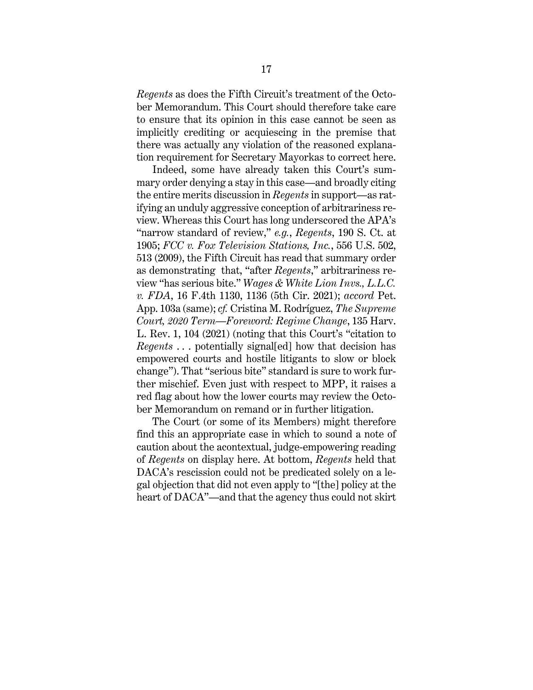*Regents* as does the Fifth Circuit's treatment of the October Memorandum. This Court should therefore take care to ensure that its opinion in this case cannot be seen as implicitly crediting or acquiescing in the premise that there was actually any violation of the reasoned explanation requirement for Secretary Mayorkas to correct here.

Indeed, some have already taken this Court's summary order denying a stay in this case—and broadly citing the entire merits discussion in *Regents* in support—as ratifying an unduly aggressive conception of arbitrariness review. Whereas this Court has long underscored the APA's "narrow standard of review," *e.g.*, *Regents*, 190 S. Ct. at 1905; *FCC v. Fox Television Stations, Inc.*, 556 U.S. 502, 513 (2009), the Fifth Circuit has read that summary order as demonstrating that, "after *Regents*," arbitrariness review "has serious bite." *Wages & White Lion Invs., L.L.C. v. FDA*, 16 F.4th 1130, 1136 (5th Cir. 2021); *accord* Pet. App. 103a (same); *cf.* Cristina M. Rodríguez, *The Supreme Court, 2020 Term—Foreword: Regime Change*, 135 Harv. L. Rev. 1, 104 (2021) (noting that this Court's "citation to *Regents* . . . potentially signal[ed] how that decision has empowered courts and hostile litigants to slow or block change"). That "serious bite" standard is sure to work further mischief. Even just with respect to MPP, it raises a red flag about how the lower courts may review the October Memorandum on remand or in further litigation.

The Court (or some of its Members) might therefore find this an appropriate case in which to sound a note of caution about the acontextual, judge-empowering reading of *Regents* on display here. At bottom, *Regents* held that DACA's rescission could not be predicated solely on a legal objection that did not even apply to "[the] policy at the heart of DACA"—and that the agency thus could not skirt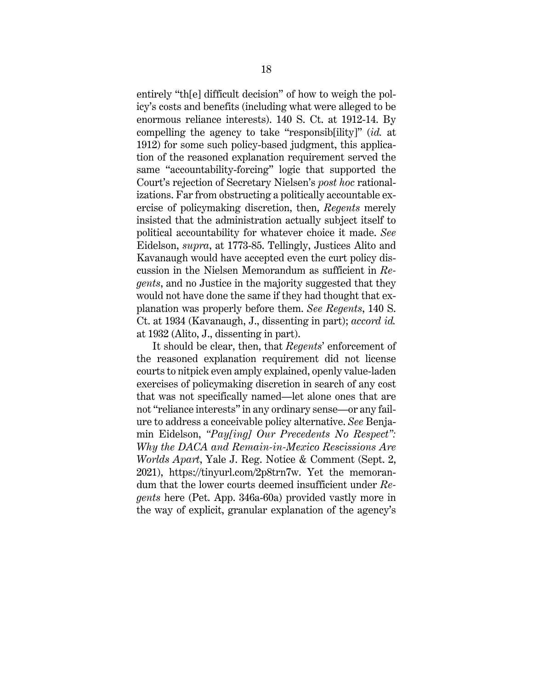entirely "th[e] difficult decision" of how to weigh the policy's costs and benefits (including what were alleged to be enormous reliance interests). 140 S. Ct. at 1912-14. By compelling the agency to take "responsib[ility]" (*id.* at 1912) for some such policy-based judgment, this application of the reasoned explanation requirement served the same "accountability-forcing" logic that supported the Court's rejection of Secretary Nielsen's *post hoc* rationalizations. Far from obstructing a politically accountable exercise of policymaking discretion, then, *Regents* merely insisted that the administration actually subject itself to political accountability for whatever choice it made. *See*  Eidelson, *supra*, at 1773-85. Tellingly, Justices Alito and Kavanaugh would have accepted even the curt policy discussion in the Nielsen Memorandum as sufficient in *Regents*, and no Justice in the majority suggested that they would not have done the same if they had thought that explanation was properly before them. *See Regents*, 140 S. Ct. at 1934 (Kavanaugh, J., dissenting in part); *accord id.* at 1932 (Alito, J., dissenting in part).

It should be clear, then, that *Regents*' enforcement of the reasoned explanation requirement did not license courts to nitpick even amply explained, openly value-laden exercises of policymaking discretion in search of any cost that was not specifically named—let alone ones that are not "reliance interests" in any ordinary sense—or any failure to address a conceivable policy alternative. *See* Benjamin Eidelson, *"Pay[ing] Our Precedents No Respect": Why the DACA and Remain-in-Mexico Rescissions Are Worlds Apart*, Yale J. Reg. Notice & Comment (Sept. 2, 2021), https://tinyurl.com/2p8trn7w. Yet the memorandum that the lower courts deemed insufficient under *Regents* here (Pet. App. 346a-60a) provided vastly more in the way of explicit, granular explanation of the agency's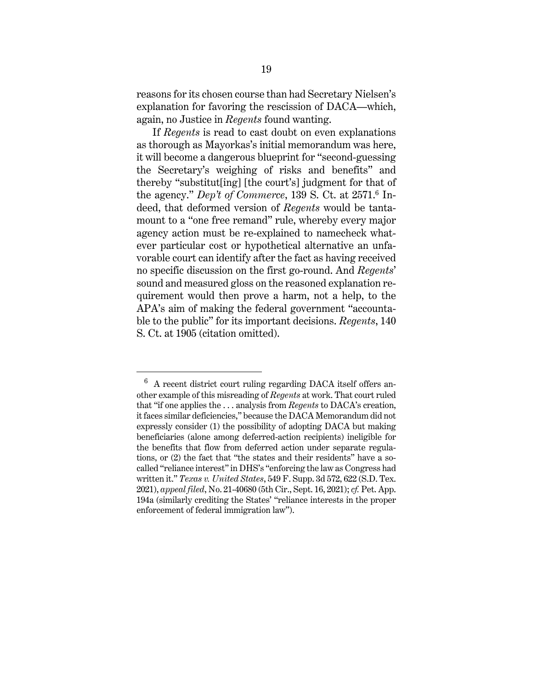reasons for its chosen course than had Secretary Nielsen's explanation for favoring the rescission of DACA—which, again, no Justice in *Regents* found wanting.

If *Regents* is read to cast doubt on even explanations as thorough as Mayorkas's initial memorandum was here, it will become a dangerous blueprint for "second-guessing the Secretary's weighing of risks and benefits" and thereby "substitut[ing] [the court's] judgment for that of the agency." *Dep't of Commerce*, 139 S. Ct. at 2571.<sup>6</sup> Indeed, that deformed version of *Regents* would be tantamount to a "one free remand" rule, whereby every major agency action must be re-explained to namecheck whatever particular cost or hypothetical alternative an unfavorable court can identify after the fact as having received no specific discussion on the first go-round. And *Regents*' sound and measured gloss on the reasoned explanation requirement would then prove a harm, not a help, to the APA's aim of making the federal government "accountable to the public" for its important decisions. *Regents*, 140 S. Ct. at 1905 (citation omitted).

 $6\;$  A recent district court ruling regarding DACA itself offers another example of this misreading of *Regents* at work. That court ruled that "if one applies the . . . analysis from *Regents* to DACA's creation, it faces similar deficiencies," because the DACA Memorandum did not expressly consider (1) the possibility of adopting DACA but making beneficiaries (alone among deferred-action recipients) ineligible for the benefits that flow from deferred action under separate regulations, or (2) the fact that "the states and their residents" have a socalled "reliance interest" in DHS's "enforcing the law as Congress had written it." *Texas v. United States*, 549 F. Supp. 3d 572, 622 (S.D. Tex. 2021), *appeal filed*, No. 21-40680 (5th Cir., Sept. 16, 2021); *cf.* Pet. App. 194a (similarly crediting the States' "reliance interests in the proper enforcement of federal immigration law").